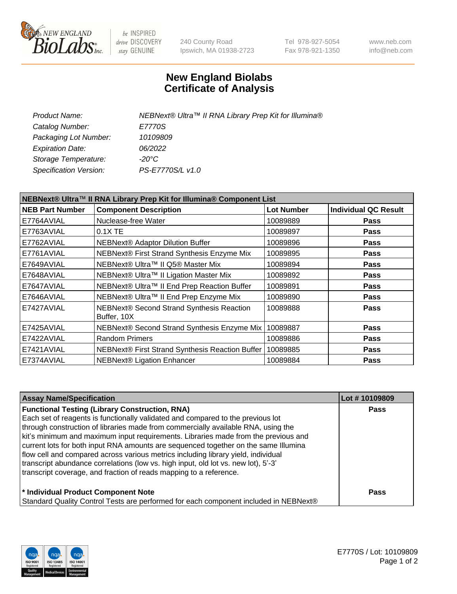

be INSPIRED drive DISCOVERY stay GENUINE

240 County Road Ipswich, MA 01938-2723 Tel 978-927-5054 Fax 978-921-1350 www.neb.com info@neb.com

## **New England Biolabs Certificate of Analysis**

| NEBNext® Ultra™ II RNA Library Prep Kit for Illumina® |
|-------------------------------------------------------|
| E7770S                                                |
| 10109809                                              |
| 06/2022                                               |
| -20°C                                                 |
| PS-E7770S/L v1.0                                      |
|                                                       |

| NEBNext® Ultra™ II RNA Library Prep Kit for Illumina® Component List |                                                          |                   |                             |  |
|----------------------------------------------------------------------|----------------------------------------------------------|-------------------|-----------------------------|--|
| <b>NEB Part Number</b>                                               | <b>Component Description</b>                             | <b>Lot Number</b> | <b>Individual QC Result</b> |  |
| E7764AVIAL                                                           | Nuclease-free Water                                      | 10089889          | <b>Pass</b>                 |  |
| E7763AVIAL                                                           | 0.1X TE                                                  | 10089897          | <b>Pass</b>                 |  |
| E7762AVIAL                                                           | <b>NEBNext® Adaptor Dilution Buffer</b>                  | 10089896          | <b>Pass</b>                 |  |
| E7761AVIAL                                                           | NEBNext® First Strand Synthesis Enzyme Mix               | 10089895          | <b>Pass</b>                 |  |
| E7649AVIAL                                                           | NEBNext® Ultra™ II Q5® Master Mix                        | 10089894          | <b>Pass</b>                 |  |
| E7648AVIAL                                                           | NEBNext® Ultra™ II Ligation Master Mix                   | 10089892          | <b>Pass</b>                 |  |
| E7647AVIAL                                                           | NEBNext® Ultra™ II End Prep Reaction Buffer              | 10089891          | <b>Pass</b>                 |  |
| E7646AVIAL                                                           | NEBNext® Ultra™ II End Prep Enzyme Mix                   | 10089890          | <b>Pass</b>                 |  |
| E7427AVIAL                                                           | NEBNext® Second Strand Synthesis Reaction<br>Buffer, 10X | 10089888          | <b>Pass</b>                 |  |
| E7425AVIAL                                                           | NEBNext® Second Strand Synthesis Enzyme Mix              | 10089887          | Pass                        |  |
| E7422AVIAL                                                           | <b>Random Primers</b>                                    | 10089886          | <b>Pass</b>                 |  |
| E7421AVIAL                                                           | NEBNext® First Strand Synthesis Reaction Buffer          | 10089885          | <b>Pass</b>                 |  |
| E7374AVIAL                                                           | <b>NEBNext® Ligation Enhancer</b>                        | 10089884          | <b>Pass</b>                 |  |

| <b>Assay Name/Specification</b>                                                      | Lot #10109809 |
|--------------------------------------------------------------------------------------|---------------|
| <b>Functional Testing (Library Construction, RNA)</b>                                | <b>Pass</b>   |
| Each set of reagents is functionally validated and compared to the previous lot      |               |
| through construction of libraries made from commercially available RNA, using the    |               |
| kit's minimum and maximum input requirements. Libraries made from the previous and   |               |
| current lots for both input RNA amounts are sequenced together on the same Illumina  |               |
| flow cell and compared across various metrics including library yield, individual    |               |
| transcript abundance correlations (low vs. high input, old lot vs. new lot), 5'-3'   |               |
| transcript coverage, and fraction of reads mapping to a reference.                   |               |
| * Individual Product Component Note                                                  | <b>Pass</b>   |
| Standard Quality Control Tests are performed for each component included in NEBNext® |               |